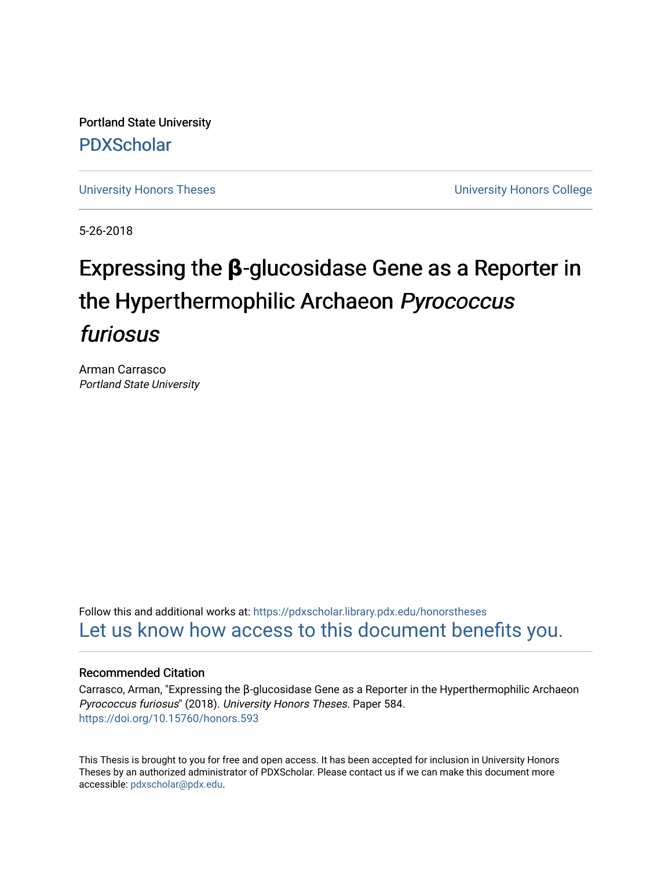Portland State University [PDXScholar](https://pdxscholar.library.pdx.edu/)

[University Honors Theses](https://pdxscholar.library.pdx.edu/honorstheses) [University Honors College](https://pdxscholar.library.pdx.edu/honors) 

5-26-2018

# Expressing the **β**-glucosidase Gene as a Reporter in the Hyperthermophilic Archaeon Pyrococcus furiosus

Arman Carrasco Portland State University

Follow this and additional works at: [https://pdxscholar.library.pdx.edu/honorstheses](https://pdxscholar.library.pdx.edu/honorstheses?utm_source=pdxscholar.library.pdx.edu%2Fhonorstheses%2F584&utm_medium=PDF&utm_campaign=PDFCoverPages)  [Let us know how access to this document benefits you.](http://library.pdx.edu/services/pdxscholar-services/pdxscholar-feedback/) 

## Recommended Citation

Carrasco, Arman, "Expressing the β-glucosidase Gene as a Reporter in the Hyperthermophilic Archaeon Pyrococcus furiosus" (2018). University Honors Theses. Paper 584. <https://doi.org/10.15760/honors.593>

This Thesis is brought to you for free and open access. It has been accepted for inclusion in University Honors Theses by an authorized administrator of PDXScholar. Please contact us if we can make this document more accessible: [pdxscholar@pdx.edu.](mailto:pdxscholar@pdx.edu)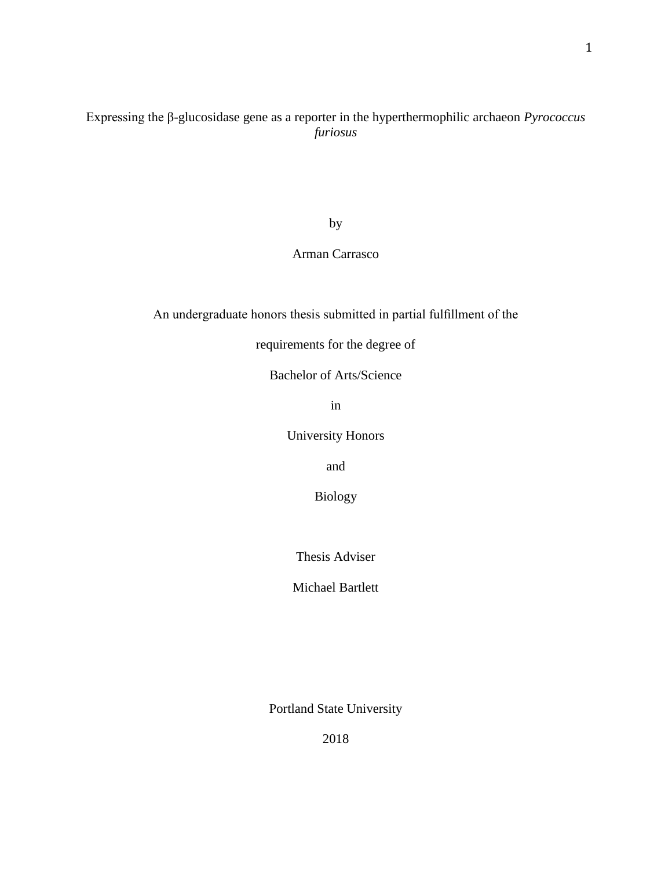Expressing the β-glucosidase gene as a reporter in the hyperthermophilic archaeon *Pyrococcus furiosus*

by

## Arman Carrasco

An undergraduate honors thesis submitted in partial fulfillment of the

requirements for the degree of

Bachelor of Arts/Science

in

University Honors

and

Biology

Thesis Adviser

Michael Bartlett

Portland State University

2018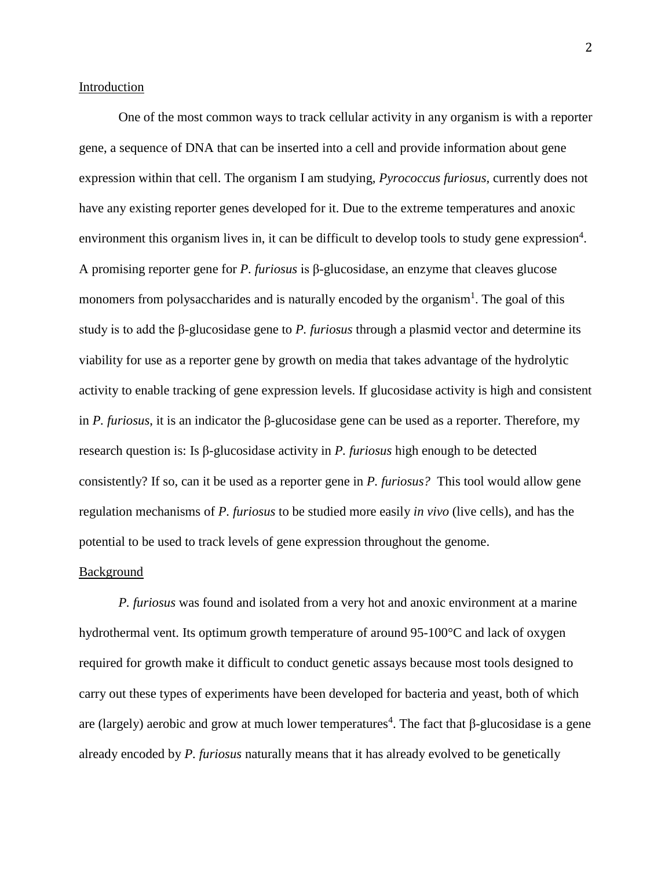## Introduction

One of the most common ways to track cellular activity in any organism is with a reporter gene, a sequence of DNA that can be inserted into a cell and provide information about gene expression within that cell. The organism I am studying, *Pyrococcus furiosus,* currently does not have any existing reporter genes developed for it. Due to the extreme temperatures and anoxic environment this organism lives in, it can be difficult to develop tools to study gene expression<sup>4</sup>. A promising reporter gene for *P. furiosus* is β-glucosidase, an enzyme that cleaves glucose monomers from polysaccharides and is naturally encoded by the organism<sup>1</sup>. The goal of this study is to add the β-glucosidase gene to *P. furiosus* through a plasmid vector and determine its viability for use as a reporter gene by growth on media that takes advantage of the hydrolytic activity to enable tracking of gene expression levels. If glucosidase activity is high and consistent in *P. furiosus*, it is an indicator the β-glucosidase gene can be used as a reporter. Therefore, my research question is: Is β-glucosidase activity in *P. furiosus* high enough to be detected consistently? If so, can it be used as a reporter gene in *P. furiosus?* This tool would allow gene regulation mechanisms of *P. furiosus* to be studied more easily *in vivo* (live cells), and has the potential to be used to track levels of gene expression throughout the genome.

## **Background**

*P. furiosus* was found and isolated from a very hot and anoxic environment at a marine hydrothermal vent. Its optimum growth temperature of around 95-100°C and lack of oxygen required for growth make it difficult to conduct genetic assays because most tools designed to carry out these types of experiments have been developed for bacteria and yeast, both of which are (largely) aerobic and grow at much lower temperatures<sup>4</sup>. The fact that β-glucosidase is a gene already encoded by *P. furiosus* naturally means that it has already evolved to be genetically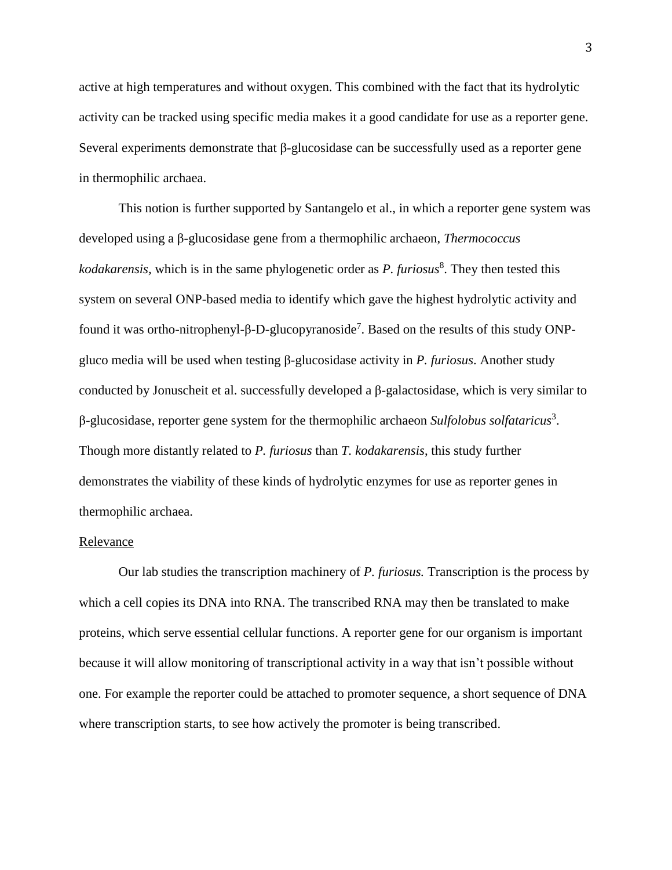active at high temperatures and without oxygen. This combined with the fact that its hydrolytic activity can be tracked using specific media makes it a good candidate for use as a reporter gene. Several experiments demonstrate that β-glucosidase can be successfully used as a reporter gene in thermophilic archaea.

This notion is further supported by Santangelo et al., in which a reporter gene system was developed using a β-glucosidase gene from a thermophilic archaeon, *Thermococcus*  kodakarensis, which is in the same phylogenetic order as *P. furiosus*<sup>8</sup>. They then tested this system on several ONP-based media to identify which gave the highest hydrolytic activity and found it was ortho-nitrophenyl-β-D-glucopyranoside<sup>7</sup>. Based on the results of this study ONPgluco media will be used when testing β-glucosidase activity in *P. furiosus*. Another study conducted by Jonuscheit et al. successfully developed a β-galactosidase, which is very similar to β-glucosidase, reporter gene system for the thermophilic archaeon *Sulfolobus solfataricus*<sup>3</sup> . Though more distantly related to *P. furiosus* than *T. kodakarensis*, this study further demonstrates the viability of these kinds of hydrolytic enzymes for use as reporter genes in thermophilic archaea.

#### **Relevance**

Our lab studies the transcription machinery of *P. furiosus.* Transcription is the process by which a cell copies its DNA into RNA. The transcribed RNA may then be translated to make proteins, which serve essential cellular functions. A reporter gene for our organism is important because it will allow monitoring of transcriptional activity in a way that isn't possible without one. For example the reporter could be attached to promoter sequence, a short sequence of DNA where transcription starts, to see how actively the promoter is being transcribed.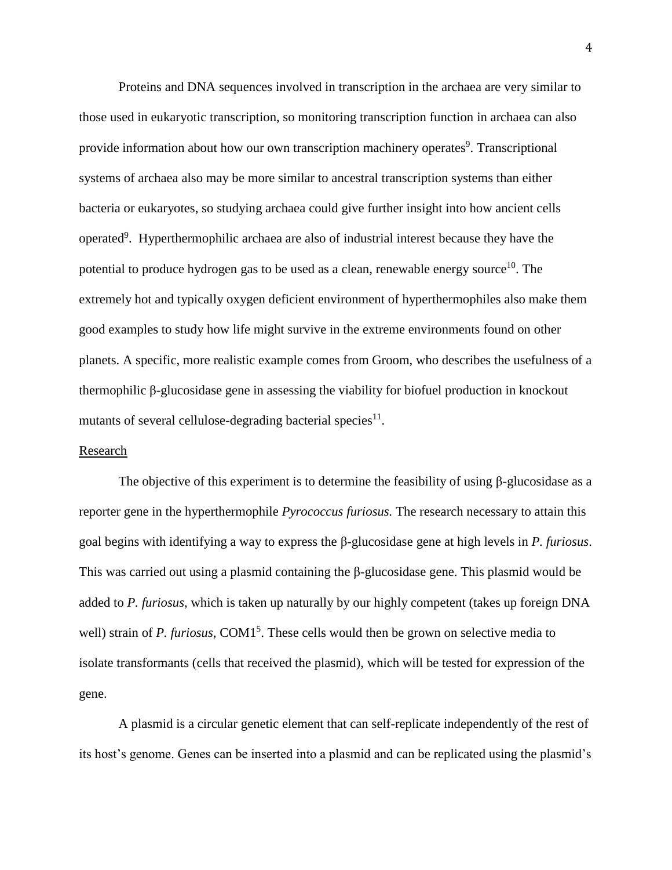Proteins and DNA sequences involved in transcription in the archaea are very similar to those used in eukaryotic transcription, so monitoring transcription function in archaea can also provide information about how our own transcription machinery operates<sup>9</sup>. Transcriptional systems of archaea also may be more similar to ancestral transcription systems than either bacteria or eukaryotes, so studying archaea could give further insight into how ancient cells operated<sup>9</sup>. Hyperthermophilic archaea are also of industrial interest because they have the potential to produce hydrogen gas to be used as a clean, renewable energy source<sup>10</sup>. The extremely hot and typically oxygen deficient environment of hyperthermophiles also make them good examples to study how life might survive in the extreme environments found on other planets. A specific, more realistic example comes from Groom, who describes the usefulness of a thermophilic β-glucosidase gene in assessing the viability for biofuel production in knockout mutants of several cellulose-degrading bacterial species $^{11}$ .

### Research

The objective of this experiment is to determine the feasibility of using  $\beta$ -glucosidase as a reporter gene in the hyperthermophile *Pyrococcus furiosus.* The research necessary to attain this goal begins with identifying a way to express the β-glucosidase gene at high levels in *P. furiosus*. This was carried out using a plasmid containing the β-glucosidase gene. This plasmid would be added to *P. furiosus*, which is taken up naturally by our highly competent (takes up foreign DNA well) strain of *P. furiosus*, COM1<sup>5</sup>. These cells would then be grown on selective media to isolate transformants (cells that received the plasmid), which will be tested for expression of the gene.

A plasmid is a circular genetic element that can self-replicate independently of the rest of its host's genome. Genes can be inserted into a plasmid and can be replicated using the plasmid's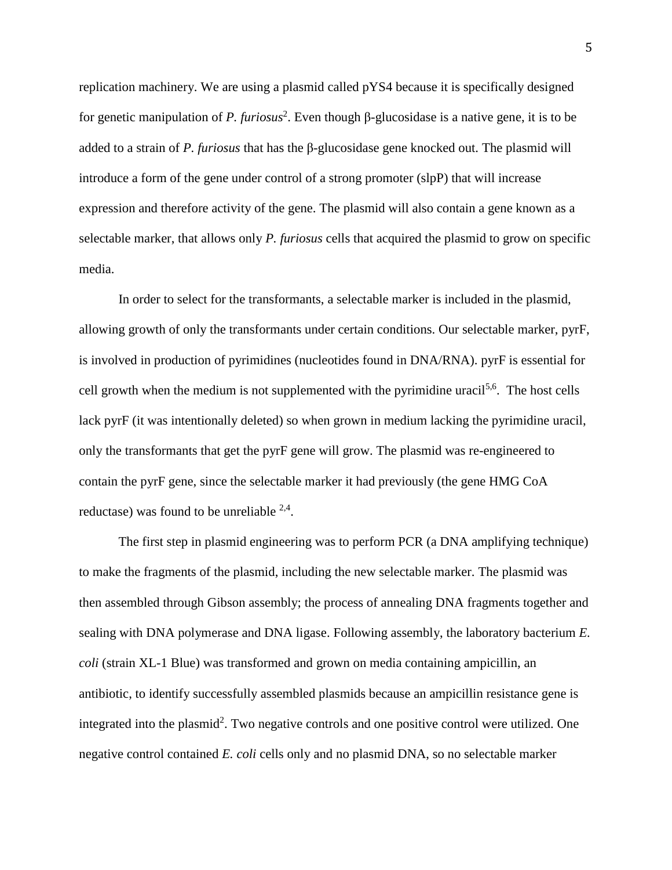replication machinery. We are using a plasmid called pYS4 because it is specifically designed for genetic manipulation of *P. furiosus* 2 . Even though β-glucosidase is a native gene, it is to be added to a strain of *P. furiosus* that has the β-glucosidase gene knocked out. The plasmid will introduce a form of the gene under control of a strong promoter (slpP) that will increase expression and therefore activity of the gene. The plasmid will also contain a gene known as a selectable marker, that allows only *P. furiosus* cells that acquired the plasmid to grow on specific media.

In order to select for the transformants, a selectable marker is included in the plasmid, allowing growth of only the transformants under certain conditions. Our selectable marker, pyrF, is involved in production of pyrimidines (nucleotides found in DNA/RNA). pyrF is essential for cell growth when the medium is not supplemented with the pyrimidine uracil<sup>5,6</sup>. The host cells lack pyrF (it was intentionally deleted) so when grown in medium lacking the pyrimidine uracil, only the transformants that get the pyrF gene will grow. The plasmid was re-engineered to contain the pyrF gene, since the selectable marker it had previously (the gene HMG CoA reductase) was found to be unreliable  $2.4$ .

The first step in plasmid engineering was to perform PCR (a DNA amplifying technique) to make the fragments of the plasmid, including the new selectable marker. The plasmid was then assembled through Gibson assembly; the process of annealing DNA fragments together and sealing with DNA polymerase and DNA ligase. Following assembly, the laboratory bacterium *E. coli* (strain XL-1 Blue) was transformed and grown on media containing ampicillin, an antibiotic, to identify successfully assembled plasmids because an ampicillin resistance gene is integrated into the plasmid<sup>2</sup>. Two negative controls and one positive control were utilized. One negative control contained *E. coli* cells only and no plasmid DNA, so no selectable marker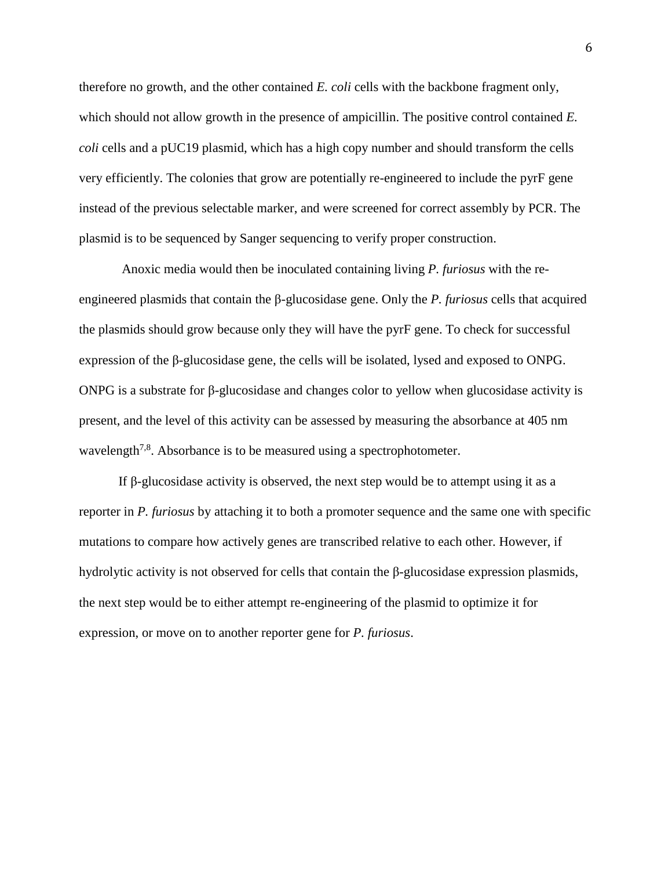therefore no growth, and the other contained *E. coli* cells with the backbone fragment only, which should not allow growth in the presence of ampicillin. The positive control contained *E. coli* cells and a pUC19 plasmid, which has a high copy number and should transform the cells very efficiently. The colonies that grow are potentially re-engineered to include the pyrF gene instead of the previous selectable marker, and were screened for correct assembly by PCR. The plasmid is to be sequenced by Sanger sequencing to verify proper construction.

Anoxic media would then be inoculated containing living *P. furiosus* with the reengineered plasmids that contain the β-glucosidase gene. Only the *P. furiosus* cells that acquired the plasmids should grow because only they will have the pyrF gene. To check for successful expression of the β-glucosidase gene, the cells will be isolated, lysed and exposed to ONPG. ONPG is a substrate for β-glucosidase and changes color to yellow when glucosidase activity is present, and the level of this activity can be assessed by measuring the absorbance at 405 nm wavelength<sup>7,8</sup>. Absorbance is to be measured using a spectrophotometer.

If β-glucosidase activity is observed, the next step would be to attempt using it as a reporter in *P. furiosus* by attaching it to both a promoter sequence and the same one with specific mutations to compare how actively genes are transcribed relative to each other. However, if hydrolytic activity is not observed for cells that contain the β-glucosidase expression plasmids, the next step would be to either attempt re-engineering of the plasmid to optimize it for expression, or move on to another reporter gene for *P. furiosus*.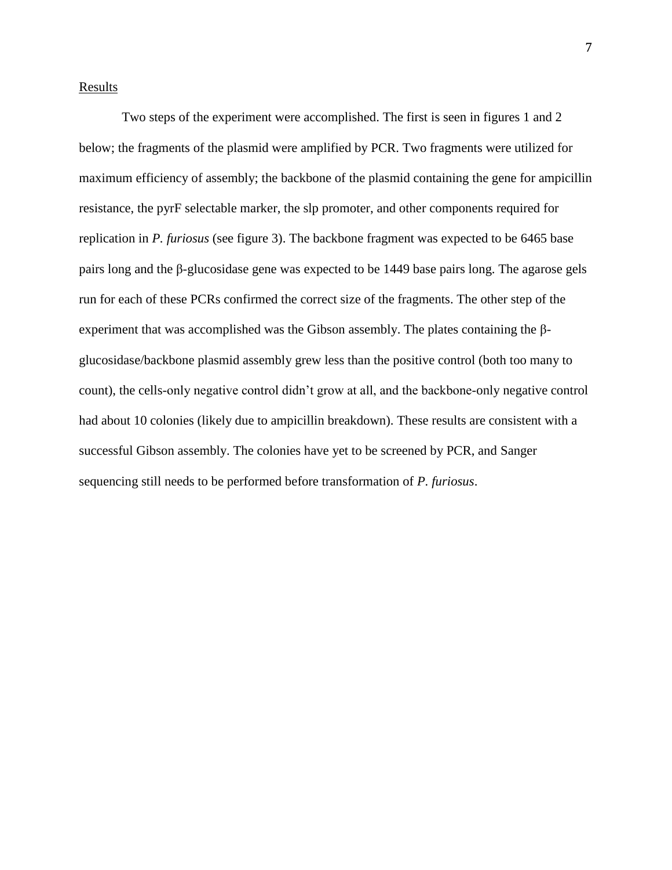## **Results**

Two steps of the experiment were accomplished. The first is seen in figures 1 and 2 below; the fragments of the plasmid were amplified by PCR. Two fragments were utilized for maximum efficiency of assembly; the backbone of the plasmid containing the gene for ampicillin resistance, the pyrF selectable marker, the slp promoter, and other components required for replication in *P. furiosus* (see figure 3). The backbone fragment was expected to be 6465 base pairs long and the β-glucosidase gene was expected to be 1449 base pairs long. The agarose gels run for each of these PCRs confirmed the correct size of the fragments. The other step of the experiment that was accomplished was the Gibson assembly. The plates containing the βglucosidase/backbone plasmid assembly grew less than the positive control (both too many to count), the cells-only negative control didn't grow at all, and the backbone-only negative control had about 10 colonies (likely due to ampicillin breakdown). These results are consistent with a successful Gibson assembly. The colonies have yet to be screened by PCR, and Sanger sequencing still needs to be performed before transformation of *P. furiosus*.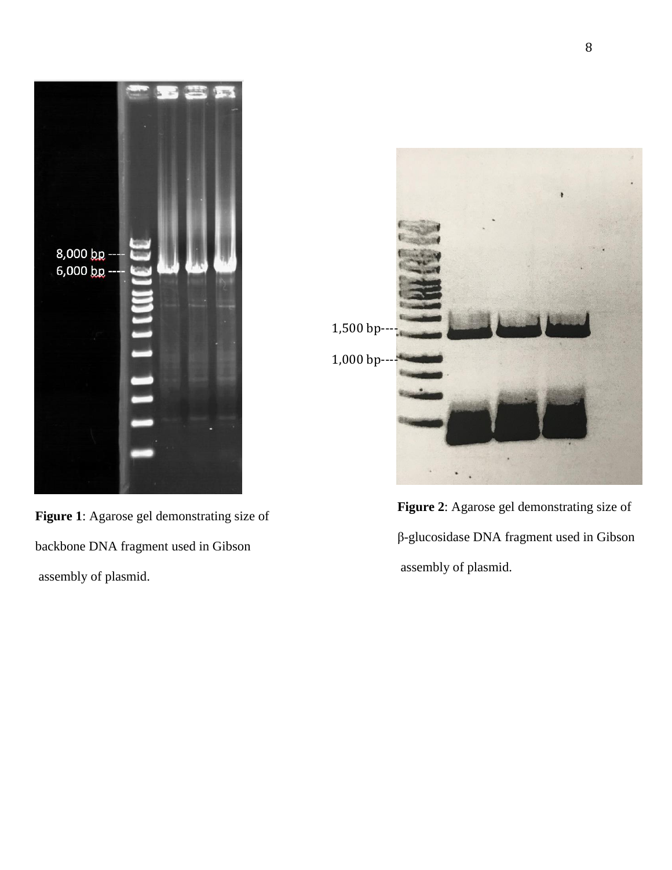

**Figure 1**: Agarose gel demonstrating size of backbone DNA fragment used in Gibson assembly of plasmid.



**Figure 2**: Agarose gel demonstrating size of β-glucosidase DNA fragment used in Gibson assembly of plasmid.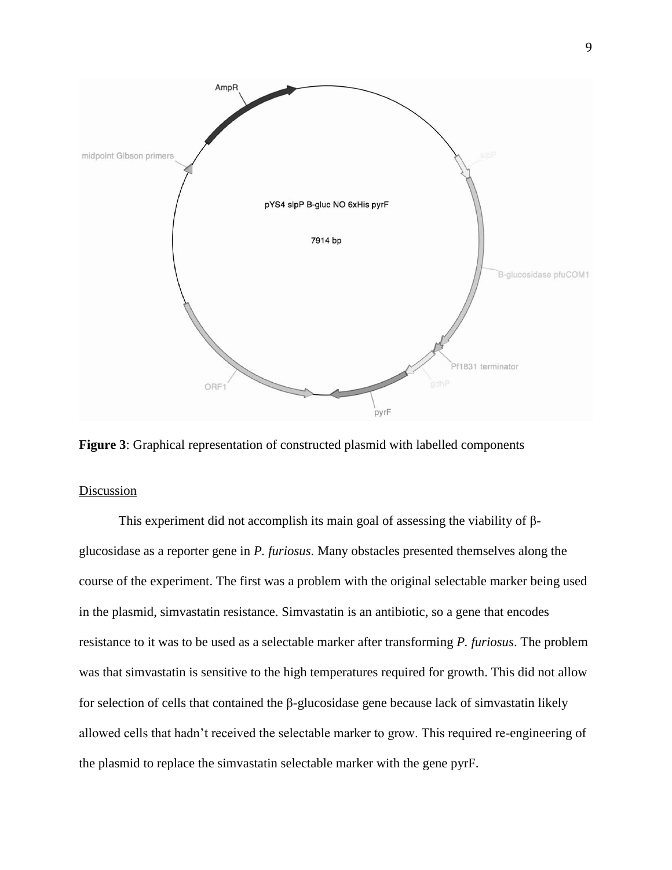

**Figure 3**: Graphical representation of constructed plasmid with labelled components

## Discussion

This experiment did not accomplish its main goal of assessing the viability of βglucosidase as a reporter gene in *P. furiosus*. Many obstacles presented themselves along the course of the experiment. The first was a problem with the original selectable marker being used in the plasmid, simvastatin resistance. Simvastatin is an antibiotic, so a gene that encodes resistance to it was to be used as a selectable marker after transforming *P. furiosus*. The problem was that simvastatin is sensitive to the high temperatures required for growth. This did not allow for selection of cells that contained the β-glucosidase gene because lack of simvastatin likely allowed cells that hadn't received the selectable marker to grow. This required re-engineering of the plasmid to replace the simvastatin selectable marker with the gene pyrF.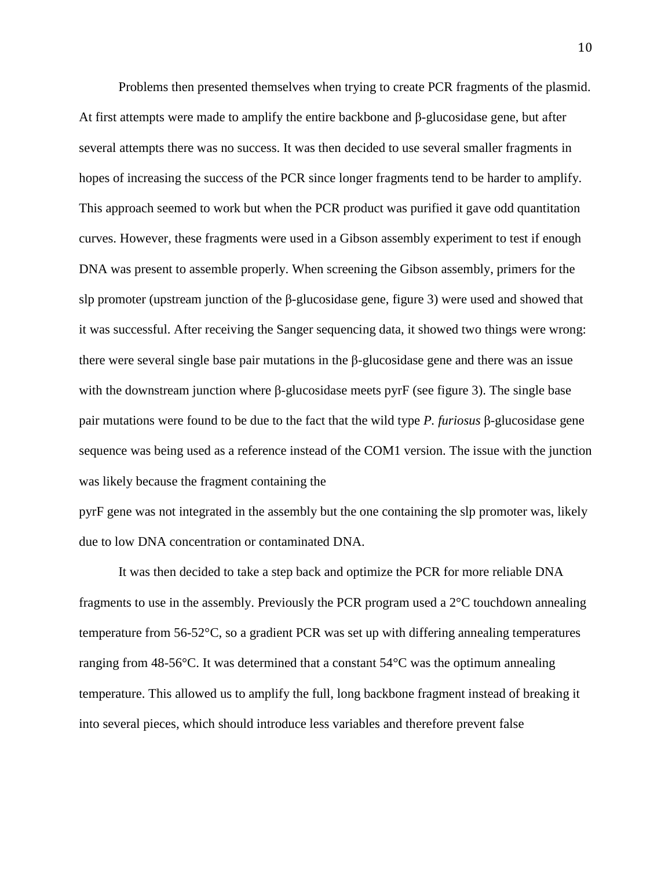Problems then presented themselves when trying to create PCR fragments of the plasmid. At first attempts were made to amplify the entire backbone and  $\beta$ -glucosidase gene, but after several attempts there was no success. It was then decided to use several smaller fragments in hopes of increasing the success of the PCR since longer fragments tend to be harder to amplify. This approach seemed to work but when the PCR product was purified it gave odd quantitation curves. However, these fragments were used in a Gibson assembly experiment to test if enough DNA was present to assemble properly. When screening the Gibson assembly, primers for the slp promoter (upstream junction of the  $\beta$ -glucosidase gene, figure 3) were used and showed that it was successful. After receiving the Sanger sequencing data, it showed two things were wrong: there were several single base pair mutations in the  $\beta$ -glucosidase gene and there was an issue with the downstream junction where β-glucosidase meets pyrF (see figure 3). The single base pair mutations were found to be due to the fact that the wild type *P. furiosus* β-glucosidase gene sequence was being used as a reference instead of the COM1 version. The issue with the junction was likely because the fragment containing the

pyrF gene was not integrated in the assembly but the one containing the slp promoter was, likely due to low DNA concentration or contaminated DNA.

It was then decided to take a step back and optimize the PCR for more reliable DNA fragments to use in the assembly. Previously the PCR program used a 2°C touchdown annealing temperature from 56-52°C, so a gradient PCR was set up with differing annealing temperatures ranging from 48-56°C. It was determined that a constant 54°C was the optimum annealing temperature. This allowed us to amplify the full, long backbone fragment instead of breaking it into several pieces, which should introduce less variables and therefore prevent false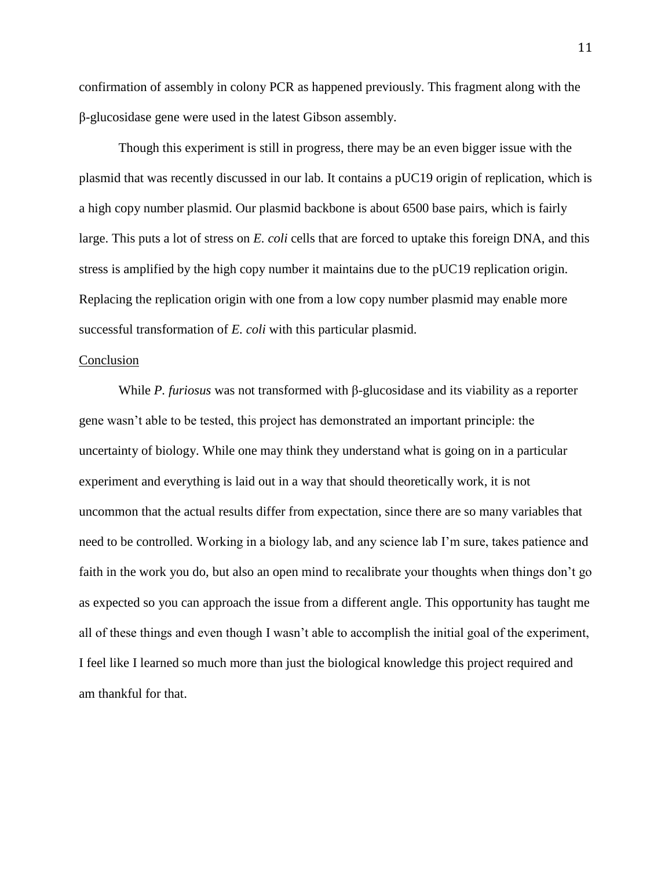confirmation of assembly in colony PCR as happened previously. This fragment along with the β-glucosidase gene were used in the latest Gibson assembly.

Though this experiment is still in progress, there may be an even bigger issue with the plasmid that was recently discussed in our lab. It contains a pUC19 origin of replication, which is a high copy number plasmid. Our plasmid backbone is about 6500 base pairs, which is fairly large. This puts a lot of stress on *E. coli* cells that are forced to uptake this foreign DNA, and this stress is amplified by the high copy number it maintains due to the pUC19 replication origin. Replacing the replication origin with one from a low copy number plasmid may enable more successful transformation of *E. coli* with this particular plasmid.

#### Conclusion

While *P. furiosus* was not transformed with β-glucosidase and its viability as a reporter gene wasn't able to be tested, this project has demonstrated an important principle: the uncertainty of biology. While one may think they understand what is going on in a particular experiment and everything is laid out in a way that should theoretically work, it is not uncommon that the actual results differ from expectation, since there are so many variables that need to be controlled. Working in a biology lab, and any science lab I'm sure, takes patience and faith in the work you do, but also an open mind to recalibrate your thoughts when things don't go as expected so you can approach the issue from a different angle. This opportunity has taught me all of these things and even though I wasn't able to accomplish the initial goal of the experiment, I feel like I learned so much more than just the biological knowledge this project required and am thankful for that.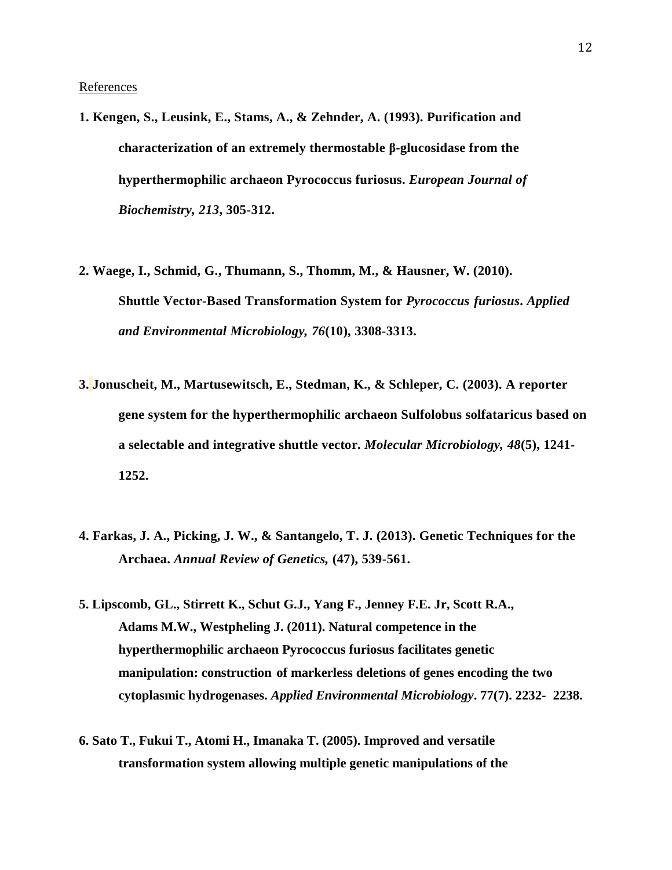**References** 

- **1. Kengen, S., Leusink, E., Stams, A., & Zehnder, A. (1993). Purification and characterization of an extremely thermostable β‐glucosidase from the hyperthermophilic archaeon Pyrococcus furiosus.** *European Journal of Biochemistry, 213***, 305-312.**
- **2. Waege, I., Schmid, G., Thumann, S., Thomm, M., & Hausner, W. (2010). Shuttle Vector-Based Transformation System for** *Pyrococcus furiosus***.** *Applied and Environmental Microbiology, 76***(10), 3308-3313.**
- **3. Jonuscheit, M., Martusewitsch, E., Stedman, K., & Schleper, C. (2003). A reporter gene system for the hyperthermophilic archaeon Sulfolobus solfataricus based on a selectable and integrative shuttle vector.** *Molecular Microbiology, 48***(5), 1241- 1252.**
- **4. Farkas, J. A., Picking, J. W., & Santangelo, T. J. (2013). Genetic Techniques for the Archaea.** *Annual Review of Genetics,* **(47), 539-561.**
- **5. Lipscomb, GL., Stirrett K., Schut G.J., Yang F., Jenney F.E. Jr, Scott R.A., Adams M.W., Westpheling J. (2011). Natural competence in the hyperthermophilic archaeon Pyrococcus furiosus facilitates genetic manipulation: construction of markerless deletions of genes encoding the two cytoplasmic hydrogenases.** *Applied Environmental Microbiology***. 77(7). 2232- 2238.**
- **6. [Sato T.](https://www.ncbi.nlm.nih.gov/pubmed/?term=Sato%20T%5BAuthor%5D&cauthor=true&cauthor_uid=16000802), [Fukui T.](https://www.ncbi.nlm.nih.gov/pubmed/?term=Fukui%20T%5BAuthor%5D&cauthor=true&cauthor_uid=16000802), [Atomi H.](https://www.ncbi.nlm.nih.gov/pubmed/?term=Atomi%20H%5BAuthor%5D&cauthor=true&cauthor_uid=16000802), [Imanaka T.](https://www.ncbi.nlm.nih.gov/pubmed/?term=Imanaka%20T%5BAuthor%5D&cauthor=true&cauthor_uid=16000802) (2005). Improved and versatile transformation system allowing multiple genetic manipulations of the**